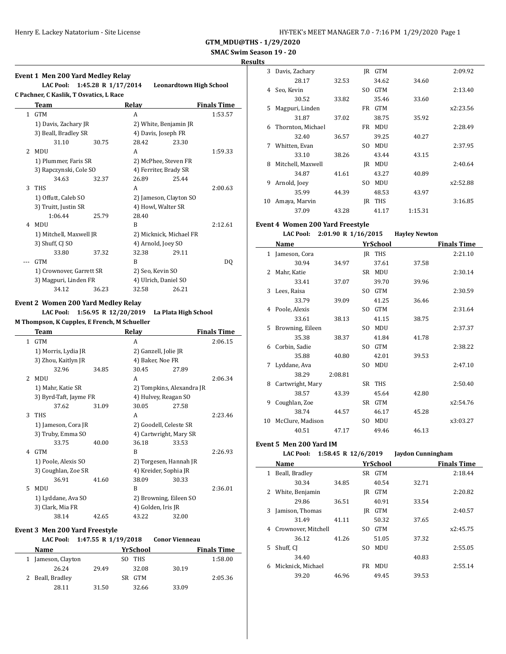# **SMAC Swim Season 19 - 20**

**Results**

 $\overline{\phantom{a}}$ 

|                | Event 1 Men 200 Yard Medley Relay       |       |                       |                                |                    |
|----------------|-----------------------------------------|-------|-----------------------|--------------------------------|--------------------|
|                | LAC Pool: 1:45.28 R 1/17/2014           |       |                       | <b>Leonardtown High School</b> |                    |
|                | C Pachner, C Kaslik, T Osvatics, L Race |       |                       |                                |                    |
|                | Team                                    |       | Relay                 |                                | <b>Finals Time</b> |
|                | 1 GTM                                   |       | A                     |                                | 1:53.57            |
|                | 1) Davis, Zachary JR                    |       |                       | 2) White, Benjamin JR          |                    |
|                | 3) Beall, Bradley SR                    |       | 4) Davis, Joseph FR   |                                |                    |
|                | 31.10                                   | 30.75 | 28.42                 | 23.30                          |                    |
| $\overline{2}$ | MDU                                     |       | A                     |                                | 1:59.33            |
|                | 1) Plummer, Faris SR                    |       | 2) McPhee, Steven FR  |                                |                    |
|                | 3) Rapczynski, Cole SO                  |       | 4) Ferriter, Brady SR |                                |                    |
|                | 34.63                                   | 32.37 | 26.89                 | 25.44                          |                    |
| 3              | THS                                     |       | A                     |                                | 2:00.63            |
|                | 1) Offutt, Caleb SO                     |       |                       | 2) Jameson, Clayton SO         |                    |
|                | 3) Truitt, Justin SR                    |       | 4) Howl, Walter SR    |                                |                    |
|                | 1:06.44                                 | 25.79 | 28.40                 |                                |                    |
| 4              | MDU                                     |       | B                     |                                | 2:12.61            |
|                | 1) Mitchell, Maxwell JR                 |       |                       | 2) Micknick, Michael FR        |                    |
|                | 3) Shuff, CJ SO                         |       | 4) Arnold, Joey SO    |                                |                    |
|                | 33.80                                   | 37.32 | 32.38                 | 29.11                          |                    |
|                | <b>GTM</b>                              |       | R                     |                                | DO.                |
|                | 1) Crownover, Garrett SR                |       | 2) Seo, Kevin SO      |                                |                    |
|                | 3) Magpuri, Linden FR                   |       | 4) Ulrich, Daniel SO  |                                |                    |
|                | 34.12                                   | 36.23 | 32.58                 | 26.21                          |                    |
|                |                                         |       |                       |                                |                    |

#### **Event 2 Women 200 Yard Medley Relay LAC Pool: 1:56.95 R 12/20/2019 La Plata High School**

**M Thompson, K Cupples, E French, M Schueller Team Relay Finals Time** 

| 1             | <b>GTM</b>             |       | A                      |                           | 2:06.15 |
|---------------|------------------------|-------|------------------------|---------------------------|---------|
|               | 1) Morris, Lydia JR    |       | 2) Ganzell, Jolie JR   |                           |         |
|               | 3) Zhou, Kaitlyn JR    |       | 4) Baker, Noe FR       |                           |         |
|               | 32.96                  | 34.85 | 30.45                  | 27.89                     |         |
| $\mathcal{L}$ | <b>MDU</b>             |       | A                      |                           | 2:06.34 |
|               | 1) Mahr, Katie SR      |       |                        | 2) Tompkins, Alexandra JR |         |
|               | 3) Byrd-Taft, Jayme FR |       | 4) Hulvey, Reagan SO   |                           |         |
|               | 37.62                  | 31.09 | 30.05                  | 27.58                     |         |
| 3             | <b>THS</b>             |       | A                      |                           | 2:23.46 |
|               | 1) Jameson, Cora JR    |       | 2) Goodell, Celeste SR |                           |         |
|               | 3) Truby, Emma SO      |       | 4) Cartwright, Mary SR |                           |         |
|               | 33.75                  | 40.00 | 36.18                  | 33.53                     |         |
| 4             | <b>GTM</b>             |       | B                      |                           | 2:26.93 |
|               | 1) Poole, Alexis SO    |       | 2) Torgesen, Hannah JR |                           |         |
|               | 3) Coughlan, Zoe SR    |       | 4) Kreider, Sophia JR  |                           |         |
|               | 36.91                  | 41.60 | 38.09                  | 30.33                     |         |
| 5             | MDU                    |       | B                      |                           | 2:36.01 |
|               | 1) Lyddane, Ava SO     |       | 2) Browning, Eileen SO |                           |         |
|               | 3) Clark, Mia FR       |       | 4) Golden, Iris JR     |                           |         |
|               | 38.14                  | 42.65 | 43.22                  | 32.00                     |         |

#### **Event 3 Men 200 Yard Freestyle**

|   | LAC Pool: 1:47.55 R 1/19/2018 |       |                  | <b>Conor Vienneau</b> |                    |
|---|-------------------------------|-------|------------------|-----------------------|--------------------|
|   | <b>Name</b>                   |       | YrSchool         |                       | <b>Finals Time</b> |
| 1 | Jameson, Clayton              |       | THS<br>SO.       |                       | 1:58.00            |
|   | 26.24                         | 29.49 | 32.08            | 30.19                 |                    |
|   | 2 Beall, Bradley              |       | <b>GTM</b><br>SR |                       | 2:05.36            |
|   | 28.11                         | 31.50 | 32.66            | 33.09                 |                    |

| ÷  |                   |       |     |            |         |          |
|----|-------------------|-------|-----|------------|---------|----------|
| 3  | Davis, Zachary    |       | IR  | <b>GTM</b> |         | 2:09.92  |
|    | 28.17             | 32.53 |     | 34.62      | 34.60   |          |
| 4  | Seo, Kevin        |       | SO. | <b>GTM</b> |         | 2:13.40  |
|    | 30.52             | 33.82 |     | 35.46      | 33.60   |          |
| 5  | Magpuri, Linden   |       | FR  | <b>GTM</b> |         | x2:23.56 |
|    | 31.87             | 37.02 |     | 38.75      | 35.92   |          |
| 6  | Thornton, Michael |       | FR  | MDU        |         | 2:28.49  |
|    | 32.40             | 36.57 |     | 39.25      | 40.27   |          |
| 7  | Whitten, Evan     |       | SO. | MDU        |         | 2:37.95  |
|    | 33.10             | 38.26 |     | 43.44      | 43.15   |          |
| 8  | Mitchell, Maxwell |       | IR  | MDU        |         | 2:40.64  |
|    | 34.87             | 41.61 |     | 43.27      | 40.89   |          |
| 9  | Arnold, Joey      |       | SO. | MDU        |         | x2:52.88 |
|    | 35.99             | 44.39 |     | 48.53      | 43.97   |          |
| 10 | Amaya, Marvin     |       | IR  | <b>THS</b> |         | 3:16.85  |
|    | 37.09             | 43.28 |     | 41.17      | 1:15.31 |          |

#### **Event 4 Women 200 Yard Freestyle**

#### **LAC Pool: 2:01.90 R 1/16/2015 Hayley Newton**

|    | Name             |         |                | YrSchool   |       | <b>Finals Time</b> |
|----|------------------|---------|----------------|------------|-------|--------------------|
| 1  | Jameson, Cora    |         | IR             | <b>THS</b> |       | 2:21.10            |
|    | 30.94            | 34.97   |                | 37.61      | 37.58 |                    |
| 2  | Mahr, Katie      |         | SR -           | <b>MDU</b> |       | 2:30.14            |
|    | 33.41            | 37.07   |                | 39.70      | 39.96 |                    |
| 3  | Lees, Raisa      |         | SO.            | <b>GTM</b> |       | 2:30.59            |
|    | 33.79            | 39.09   |                | 41.25      | 36.46 |                    |
| 4  | Poole, Alexis    |         | SO.            | <b>GTM</b> |       | 2:31.64            |
|    | 33.61            | 38.13   |                | 41.15      | 38.75 |                    |
| 5  | Browning, Eileen |         | S <sub>O</sub> | <b>MDU</b> |       | 2:37.37            |
|    | 35.38            | 38.37   |                | 41.84      | 41.78 |                    |
| 6  | Corbin, Sadie    |         | SO.            | <b>GTM</b> |       | 2:38.22            |
|    | 35.88            | 40.80   |                | 42.01      | 39.53 |                    |
| 7  | Lyddane, Ava     |         | SO.            | MDU        |       | 2:47.10            |
|    | 38.29            | 2:08.81 |                |            |       |                    |
| 8  | Cartwright, Mary |         |                | SR THS     |       | 2:50.40            |
|    | 38.57            | 43.39   |                | 45.64      | 42.80 |                    |
| 9  | Coughlan, Zoe    |         | SR             | <b>GTM</b> |       | x2:54.76           |
|    | 38.74            | 44.57   |                | 46.17      | 45.28 |                    |
| 10 | McClure, Madison |         | S <sub>0</sub> | MDU        |       | x3:03.27           |
|    | 40.51            | 47.17   |                | 49.46      | 46.13 |                    |

# **Event 5 Men 200 Yard IM**

| <b>LAC Pool:</b> | 1:58.45 R $12/6/2019$ |  |
|------------------|-----------------------|--|
|------------------|-----------------------|--|

|   | nt 5 Men 200 Yard IM  |       |                       |                 |                   |                    |
|---|-----------------------|-------|-----------------------|-----------------|-------------------|--------------------|
|   | <b>LAC Pool:</b>      |       | 1:58.45 R $12/6/2019$ |                 | Jaydon Cunningham |                    |
|   | Name                  |       |                       | <b>YrSchool</b> |                   | <b>Finals Time</b> |
| 1 | Beall, Bradley        |       |                       | SR GTM          |                   | 2:18.44            |
|   | 30.34                 | 34.85 |                       | 40.54           | 32.71             |                    |
|   | 2 White, Benjamin     |       | IR                    | <b>GTM</b>      |                   | 2:20.82            |
|   | 29.86                 | 36.51 |                       | 40.91           | 33.54             |                    |
|   | 3 Jamison, Thomas     |       | IR                    | <b>GTM</b>      |                   | 2:40.57            |
|   | 31.49                 | 41.11 |                       | 50.32           | 37.65             |                    |
|   | 4 Crownover, Mitchell |       | SO.                   | <b>GTM</b>      |                   | x2:45.75           |
|   | 36.12                 | 41.26 |                       | 51.05           | 37.32             |                    |
|   | 5 Shuff, CI           |       | SO.                   | <b>MDU</b>      |                   | 2:55.05            |
|   | 34.40                 |       |                       |                 | 40.83             |                    |
|   | 6 Micknick, Michael   |       | FR.                   | MDU             |                   | 2:55.14            |
|   | 39.20                 | 46.96 |                       | 49.45           | 39.53             |                    |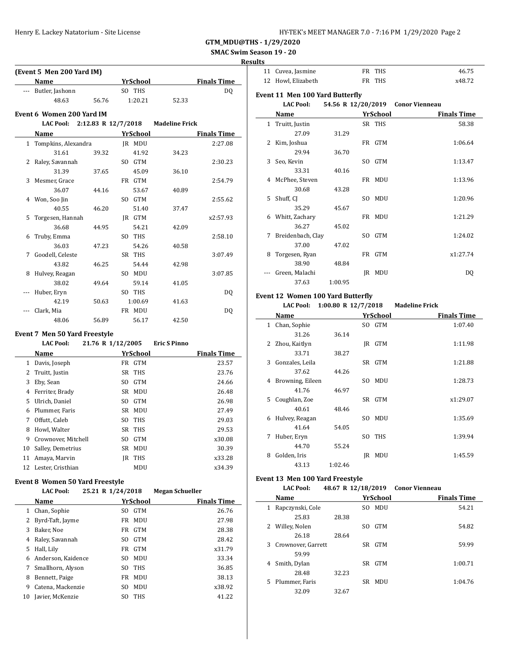# **SMAC Swim Season 19 - 20**

### **Results**

| <b>Name</b><br><b>Finals Time</b><br><b>YrSchool</b><br>SO THS<br>Butler, Jashonn<br>D <sub>0</sub><br>$---$<br>48.63<br>1:20.21<br>56.76<br>52.33<br>Event 6 Women 200 Yard IM<br><b>LAC Pool:</b><br>2:12.83 R 12/7/2018<br><b>Madeline Frick</b><br><b>YrSchool</b><br><b>Finals Time</b><br>Name<br><b>IR MDU</b><br>Tompkins, Alexandra<br>2:27.08<br>1<br>31.61<br>39.32<br>41.92<br>34.23<br>SO GTM<br>2<br>Raley, Savannah<br>2:30.23<br>31.39<br>37.65<br>45.09<br>36.10<br>3<br>FR GTM<br>Mesmer, Grace<br>2:54.79<br>36.07<br>44.16<br>53.67<br>40.89<br>SO GTM<br>Won, Soo Jin<br>2:55.62<br>4<br>40.55<br>46.20<br>51.40<br>37.47<br>Torgesen, Hannah<br>IR GTM<br>x2:57.93<br>5<br>36.68<br>44.95<br>54.21<br>42.09<br>Truby, Emma<br>SO THS<br>2:58.10<br>6<br>36.03<br>54.26<br>47.23<br>40.58<br>Goodell, Celeste<br>SR THS<br>7<br>3:07.49<br>54.44<br>43.82<br>46.25<br>42.98<br>SO MDU<br>Hulvey, Reagan<br>8<br>3:07.85<br>38.02<br>59.14<br>49.64<br>41.05<br>SO THS<br>Huber, Eryn<br>DQ<br>1:00.69<br>42.19<br>50.63<br>41.63<br>Clark, Mia<br>FR MDU<br>DQ<br>48.06<br>56.89<br>56.17<br>42.50<br>Event 7 Men 50 Yard Freestyle<br>21.76 R 1/12/2005<br><b>LAC Pool:</b><br><b>Eric S Pinno</b><br>Name<br><b>YrSchool</b><br><b>Finals Time</b><br>Davis, Joseph<br>FR GTM<br>23.57<br>$\mathbf{1}$<br>SR THS | (Event 5 Men 200 Yard IM) |                |  |  |  |  |       |  |  |
|-----------------------------------------------------------------------------------------------------------------------------------------------------------------------------------------------------------------------------------------------------------------------------------------------------------------------------------------------------------------------------------------------------------------------------------------------------------------------------------------------------------------------------------------------------------------------------------------------------------------------------------------------------------------------------------------------------------------------------------------------------------------------------------------------------------------------------------------------------------------------------------------------------------------------------------------------------------------------------------------------------------------------------------------------------------------------------------------------------------------------------------------------------------------------------------------------------------------------------------------------------------------------------------------------------------------------------------------|---------------------------|----------------|--|--|--|--|-------|--|--|
|                                                                                                                                                                                                                                                                                                                                                                                                                                                                                                                                                                                                                                                                                                                                                                                                                                                                                                                                                                                                                                                                                                                                                                                                                                                                                                                                         |                           |                |  |  |  |  |       |  |  |
|                                                                                                                                                                                                                                                                                                                                                                                                                                                                                                                                                                                                                                                                                                                                                                                                                                                                                                                                                                                                                                                                                                                                                                                                                                                                                                                                         |                           |                |  |  |  |  |       |  |  |
|                                                                                                                                                                                                                                                                                                                                                                                                                                                                                                                                                                                                                                                                                                                                                                                                                                                                                                                                                                                                                                                                                                                                                                                                                                                                                                                                         |                           |                |  |  |  |  |       |  |  |
|                                                                                                                                                                                                                                                                                                                                                                                                                                                                                                                                                                                                                                                                                                                                                                                                                                                                                                                                                                                                                                                                                                                                                                                                                                                                                                                                         |                           |                |  |  |  |  |       |  |  |
|                                                                                                                                                                                                                                                                                                                                                                                                                                                                                                                                                                                                                                                                                                                                                                                                                                                                                                                                                                                                                                                                                                                                                                                                                                                                                                                                         |                           |                |  |  |  |  |       |  |  |
|                                                                                                                                                                                                                                                                                                                                                                                                                                                                                                                                                                                                                                                                                                                                                                                                                                                                                                                                                                                                                                                                                                                                                                                                                                                                                                                                         |                           |                |  |  |  |  |       |  |  |
|                                                                                                                                                                                                                                                                                                                                                                                                                                                                                                                                                                                                                                                                                                                                                                                                                                                                                                                                                                                                                                                                                                                                                                                                                                                                                                                                         |                           |                |  |  |  |  |       |  |  |
|                                                                                                                                                                                                                                                                                                                                                                                                                                                                                                                                                                                                                                                                                                                                                                                                                                                                                                                                                                                                                                                                                                                                                                                                                                                                                                                                         |                           |                |  |  |  |  |       |  |  |
|                                                                                                                                                                                                                                                                                                                                                                                                                                                                                                                                                                                                                                                                                                                                                                                                                                                                                                                                                                                                                                                                                                                                                                                                                                                                                                                                         |                           |                |  |  |  |  |       |  |  |
|                                                                                                                                                                                                                                                                                                                                                                                                                                                                                                                                                                                                                                                                                                                                                                                                                                                                                                                                                                                                                                                                                                                                                                                                                                                                                                                                         |                           |                |  |  |  |  |       |  |  |
|                                                                                                                                                                                                                                                                                                                                                                                                                                                                                                                                                                                                                                                                                                                                                                                                                                                                                                                                                                                                                                                                                                                                                                                                                                                                                                                                         |                           |                |  |  |  |  |       |  |  |
|                                                                                                                                                                                                                                                                                                                                                                                                                                                                                                                                                                                                                                                                                                                                                                                                                                                                                                                                                                                                                                                                                                                                                                                                                                                                                                                                         |                           |                |  |  |  |  |       |  |  |
|                                                                                                                                                                                                                                                                                                                                                                                                                                                                                                                                                                                                                                                                                                                                                                                                                                                                                                                                                                                                                                                                                                                                                                                                                                                                                                                                         |                           |                |  |  |  |  |       |  |  |
|                                                                                                                                                                                                                                                                                                                                                                                                                                                                                                                                                                                                                                                                                                                                                                                                                                                                                                                                                                                                                                                                                                                                                                                                                                                                                                                                         |                           |                |  |  |  |  |       |  |  |
|                                                                                                                                                                                                                                                                                                                                                                                                                                                                                                                                                                                                                                                                                                                                                                                                                                                                                                                                                                                                                                                                                                                                                                                                                                                                                                                                         |                           |                |  |  |  |  |       |  |  |
|                                                                                                                                                                                                                                                                                                                                                                                                                                                                                                                                                                                                                                                                                                                                                                                                                                                                                                                                                                                                                                                                                                                                                                                                                                                                                                                                         |                           |                |  |  |  |  |       |  |  |
|                                                                                                                                                                                                                                                                                                                                                                                                                                                                                                                                                                                                                                                                                                                                                                                                                                                                                                                                                                                                                                                                                                                                                                                                                                                                                                                                         |                           |                |  |  |  |  |       |  |  |
|                                                                                                                                                                                                                                                                                                                                                                                                                                                                                                                                                                                                                                                                                                                                                                                                                                                                                                                                                                                                                                                                                                                                                                                                                                                                                                                                         |                           |                |  |  |  |  |       |  |  |
|                                                                                                                                                                                                                                                                                                                                                                                                                                                                                                                                                                                                                                                                                                                                                                                                                                                                                                                                                                                                                                                                                                                                                                                                                                                                                                                                         |                           |                |  |  |  |  |       |  |  |
|                                                                                                                                                                                                                                                                                                                                                                                                                                                                                                                                                                                                                                                                                                                                                                                                                                                                                                                                                                                                                                                                                                                                                                                                                                                                                                                                         |                           |                |  |  |  |  |       |  |  |
|                                                                                                                                                                                                                                                                                                                                                                                                                                                                                                                                                                                                                                                                                                                                                                                                                                                                                                                                                                                                                                                                                                                                                                                                                                                                                                                                         |                           |                |  |  |  |  |       |  |  |
|                                                                                                                                                                                                                                                                                                                                                                                                                                                                                                                                                                                                                                                                                                                                                                                                                                                                                                                                                                                                                                                                                                                                                                                                                                                                                                                                         |                           |                |  |  |  |  |       |  |  |
|                                                                                                                                                                                                                                                                                                                                                                                                                                                                                                                                                                                                                                                                                                                                                                                                                                                                                                                                                                                                                                                                                                                                                                                                                                                                                                                                         |                           |                |  |  |  |  |       |  |  |
|                                                                                                                                                                                                                                                                                                                                                                                                                                                                                                                                                                                                                                                                                                                                                                                                                                                                                                                                                                                                                                                                                                                                                                                                                                                                                                                                         |                           |                |  |  |  |  |       |  |  |
|                                                                                                                                                                                                                                                                                                                                                                                                                                                                                                                                                                                                                                                                                                                                                                                                                                                                                                                                                                                                                                                                                                                                                                                                                                                                                                                                         |                           |                |  |  |  |  |       |  |  |
|                                                                                                                                                                                                                                                                                                                                                                                                                                                                                                                                                                                                                                                                                                                                                                                                                                                                                                                                                                                                                                                                                                                                                                                                                                                                                                                                         |                           |                |  |  |  |  |       |  |  |
|                                                                                                                                                                                                                                                                                                                                                                                                                                                                                                                                                                                                                                                                                                                                                                                                                                                                                                                                                                                                                                                                                                                                                                                                                                                                                                                                         |                           |                |  |  |  |  |       |  |  |
|                                                                                                                                                                                                                                                                                                                                                                                                                                                                                                                                                                                                                                                                                                                                                                                                                                                                                                                                                                                                                                                                                                                                                                                                                                                                                                                                         |                           |                |  |  |  |  |       |  |  |
|                                                                                                                                                                                                                                                                                                                                                                                                                                                                                                                                                                                                                                                                                                                                                                                                                                                                                                                                                                                                                                                                                                                                                                                                                                                                                                                                         |                           |                |  |  |  |  |       |  |  |
|                                                                                                                                                                                                                                                                                                                                                                                                                                                                                                                                                                                                                                                                                                                                                                                                                                                                                                                                                                                                                                                                                                                                                                                                                                                                                                                                         |                           |                |  |  |  |  |       |  |  |
|                                                                                                                                                                                                                                                                                                                                                                                                                                                                                                                                                                                                                                                                                                                                                                                                                                                                                                                                                                                                                                                                                                                                                                                                                                                                                                                                         | 2                         | Truitt, Justin |  |  |  |  | 23.76 |  |  |

|    | 1 Davis, JUSCUII     |     | TR ATH     | 23.J/  |
|----|----------------------|-----|------------|--------|
| 2  | Truitt, Justin       | SR  | THS        | 23.76  |
| 3  | Eby, Sean            | SO. | <b>GTM</b> | 24.66  |
| 4  | Ferriter, Brady      | SR  | <b>MDU</b> | 26.48  |
| 5. | Ulrich, Daniel       | SO. | <b>GTM</b> | 26.98  |
| 6  | Plummer, Faris       | SR  | <b>MDU</b> | 27.49  |
| 7  | Offutt, Caleb        | SO. | <b>THS</b> | 29.03  |
| 8  | Howl. Walter         | SR  | THS        | 29.53  |
| 9  | Crownover, Mitchell  | SO. | <b>GTM</b> | x30.08 |
| 10 | Salley, Demetrius    | SR  | <b>MDU</b> | 30.39  |
| 11 | Amaya, Marvin        | IR  | <b>THS</b> | x33.28 |
|    | 12 Lester, Cristhian |     | MDU        | x34.39 |

#### **Event 8 Women 50 Yard Freestyle**

 $\overline{\phantom{a}}$ 

|    | <b>LAC Pool:</b>   | 25.21 R 1/24/2018 |            | <b>Megan Schueller</b> |        |
|----|--------------------|-------------------|------------|------------------------|--------|
|    | Name               |                   | YrSchool   | <b>Finals Time</b>     |        |
|    | 1 Chan, Sophie     | SO.               | <b>GTM</b> |                        | 26.76  |
| 2  | Byrd-Taft, Jayme   | FR                | <b>MDU</b> |                        | 27.98  |
| 3  | Baker, Noe         | FR                | <b>GTM</b> |                        | 28.38  |
| 4  | Raley, Savannah    | SO.               | <b>GTM</b> |                        | 28.42  |
| 5  | Hall, Lily         | FR -              | <b>GTM</b> |                        | x31.79 |
| 6  | Anderson, Kaidence | SO.               | <b>MDU</b> |                        | 33.34  |
| 7  | Smallhorn, Alyson  | SO.               | <b>THS</b> |                        | 36.85  |
| 8  | Bennett, Paige     | FR                | <b>MDU</b> |                        | 38.13  |
| 9  | Catena, Mackenzie  | SO.               | <b>MDU</b> |                        | x38.92 |
| 10 | Javier, McKenzie   | SO.               | <b>THS</b> |                        | 41.22  |
|    |                    |                   |            |                        |        |

| 11 Cuvea, Jasmine  | FR THS | 46.75  |
|--------------------|--------|--------|
| 12 Howl, Elizabeth | FR THS | x48.72 |

### **Event 11 Men 100 Yard Butterfly**

|    | <b>LAC Pool:</b>  |         |     |                 | 54.56 R 12/20/2019 Conor Vienneau |
|----|-------------------|---------|-----|-----------------|-----------------------------------|
|    | Name              |         |     | <b>YrSchool</b> | <b>Finals Time</b>                |
|    | 1 Truitt, Justin  |         |     | SR THS          | 58.38                             |
|    | 27.09             | 31.29   |     |                 |                                   |
| 2  | Kim, Joshua       |         |     | FR GTM          | 1:06.64                           |
|    | 29.94             | 36.70   |     |                 |                                   |
| 3  | Seo, Kevin        |         |     | SO GTM          | 1:13.47                           |
|    | 33.31             | 40.16   |     |                 |                                   |
|    | 4 McPhee, Steven  |         |     | FR MDU          | 1:13.96                           |
|    | 30.68             | 43.28   |     |                 |                                   |
| 5. | Shuff, CJ         |         | SO. | MDU             | 1:20.96                           |
|    | 35.29             | 45.67   |     |                 |                                   |
| 6. | Whitt, Zachary    |         |     | FR MDU          | 1:21.29                           |
|    | 36.27             | 45.02   |     |                 |                                   |
| 7  | Breidenbach, Clay |         |     | SO GTM          | 1:24.02                           |
|    | 37.00             | 47.02   |     |                 |                                   |
| 8  | Torgesen, Ryan    |         |     | FR GTM          | x1:27.74                          |
|    | 38.90             | 48.84   |     |                 |                                   |
|    | Green, Malachi    |         | IR  | MDU             | DQ                                |
|    | 37.63             | 1:00.95 |     |                 |                                   |
|    |                   |         |     |                 |                                   |

## **Event 12 Women 100 Yard Butterfly**

#### **LAC Pool: 1:00.80 R 12/7/2018 Madeline Frick**

|              | Name             |         | YrSchool          | <b>Finals Time</b> |
|--------------|------------------|---------|-------------------|--------------------|
| $\mathbf{1}$ | Chan, Sophie     |         | SO GTM            | 1:07.40            |
|              | 31.26            | 36.14   |                   |                    |
| $\mathbf{2}$ | Zhou, Kaitlyn    |         | <b>GTM</b><br>IR  | 1:11.98            |
|              | 33.71            | 38.27   |                   |                    |
| 3            | Gonzales, Leila  |         | SR GTM            | 1:21.88            |
|              | 37.62            | 44.26   |                   |                    |
| 4            | Browning, Eileen |         | MDU<br>SO.        | 1:28.73            |
|              | 41.76            | 46.97   |                   |                    |
| 5.           | Coughlan, Zoe    |         | SR GTM            | x1:29.07           |
|              | 40.61            | 48.46   |                   |                    |
| 6            | Hulvey, Reagan   |         | <b>MDU</b><br>SO. | 1:35.69            |
|              | 41.64            | 54.05   |                   |                    |
| 7            | Huber, Eryn      |         | <b>THS</b><br>SO. | 1:39.94            |
|              | 44.70            | 55.24   |                   |                    |
| 8            | Golden, Iris     |         | IR<br>MDU         | 1:45.59            |
|              | 43.13            | 1:02.46 |                   |                    |

### **Event 13 Men 100 Yard Freestyle**

 $\overline{\phantom{a}}$ 

|    | <b>LAC Pool:</b>   |       |     |            | 48.67 R 12/18/2019 Conor Vienneau |                    |
|----|--------------------|-------|-----|------------|-----------------------------------|--------------------|
|    | Name               |       |     | YrSchool   |                                   | <b>Finals Time</b> |
| 1  | Rapczynski, Cole   |       | SO. | MDU        |                                   | 54.21              |
|    | 25.83              | 28.38 |     |            |                                   |                    |
| 2  | Willey, Nolen      |       | SO. | <b>GTM</b> |                                   | 54.82              |
|    | 26.18              | 28.64 |     |            |                                   |                    |
| 3  | Crownover, Garrett |       | SR. | <b>GTM</b> |                                   | 59.99              |
|    | 59.99              |       |     |            |                                   |                    |
| 4  | Smith, Dylan       |       |     | SR GTM     |                                   | 1:00.71            |
|    | 28.48              | 32.23 |     |            |                                   |                    |
| 5. | Plummer, Faris     |       | SR  | MDU        |                                   | 1:04.76            |
|    | 32.09              | 32.67 |     |            |                                   |                    |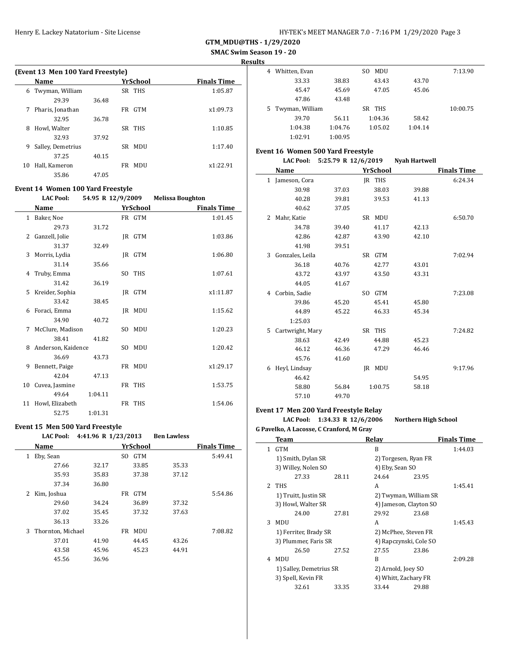**SMAC Swim Season 19 - 20**

**Results**

|    | (Event 13 Men 100 Yard Freestyle) |       |                  |                    |  |  |  |  |  |
|----|-----------------------------------|-------|------------------|--------------------|--|--|--|--|--|
|    | Name                              |       | YrSchool         | <b>Finals Time</b> |  |  |  |  |  |
| 6  | Twyman, William                   |       | SR THS           | 1:05.87            |  |  |  |  |  |
|    | 29.39                             | 36.48 |                  |                    |  |  |  |  |  |
| 7  | Pharis, Jonathan                  |       | <b>GTM</b><br>FR | x1:09.73           |  |  |  |  |  |
|    | 32.95                             | 36.78 |                  |                    |  |  |  |  |  |
| 8  | Howl, Walter                      |       | SR THS           | 1:10.85            |  |  |  |  |  |
|    | 32.93                             | 37.92 |                  |                    |  |  |  |  |  |
| 9  | Salley, Demetrius                 |       | SR MDU           | 1:17.40            |  |  |  |  |  |
|    | 37.25                             | 40.15 |                  |                    |  |  |  |  |  |
| 10 | Hall, Kameron                     |       | FR MDU           | x1:22.91           |  |  |  |  |  |
|    | 35.86                             | 47.05 |                  |                    |  |  |  |  |  |

## **Event 14 Women 100 Yard Freestyle**

| <b>LAC Pool:</b> | 54.95 R 12/9/2009 | <b>Melissa Boughton</b> |
|------------------|-------------------|-------------------------|
|------------------|-------------------|-------------------------|

|              | Name               |         | YrSchool | <b>Finals Time</b> |  |
|--------------|--------------------|---------|----------|--------------------|--|
| $\mathbf{1}$ | Baker, Noe         |         | FR GTM   | 1:01.45            |  |
|              | 29.73              | 31.72   |          |                    |  |
| 2            | Ganzell, Jolie     |         | JR GTM   | 1:03.86            |  |
|              | 31.37              | 32.49   |          |                    |  |
| 3            | Morris, Lydia      |         | IR GTM   | 1:06.80            |  |
|              | 31.14              | 35.66   |          |                    |  |
|              | 4 Truby, Emma      |         | SO THS   | 1:07.61            |  |
|              | 31.42              | 36.19   |          |                    |  |
| 5            | Kreider, Sophia    |         | IR GTM   | x1:11.87           |  |
|              | 33.42              | 38.45   |          |                    |  |
| 6            | Foraci, Emma       |         | JR MDU   | 1:15.62            |  |
|              | 34.90              | 40.72   |          |                    |  |
| 7            | McClure, Madison   |         | SO MDU   | 1:20.23            |  |
|              | 38.41              | 41.82   |          |                    |  |
| 8            | Anderson, Kaidence |         | SO MDU   | 1:20.42            |  |
|              | 36.69              | 43.73   |          |                    |  |
| 9            | Bennett, Paige     |         | FR MDU   | x1:29.17           |  |
|              | 42.04              | 47.13   |          |                    |  |
| 10           | Cuvea, Jasmine     |         | FR THS   | 1:53.75            |  |
|              | 49.64              | 1:04.11 |          |                    |  |
| 11           | Howl, Elizabeth    |         | FR THS   | 1:54.06            |  |
|              | 52.75              | 1:01.31 |          |                    |  |

### **Event 15 Men 500 Yard Freestyle**

| <b>LAC Pool:</b> | 4:41.96 R 1/23/2013 |  | <b>Ben Lawless</b> |
|------------------|---------------------|--|--------------------|
|------------------|---------------------|--|--------------------|

|   | Name              |       |     | YrSchool   |       | <b>Finals Time</b> |
|---|-------------------|-------|-----|------------|-------|--------------------|
| 1 | Eby, Sean         |       | SO. | <b>GTM</b> |       | 5:49.41            |
|   | 27.66             | 32.17 |     | 33.85      | 35.33 |                    |
|   | 35.93             | 35.83 |     | 37.38      | 37.12 |                    |
|   | 37.34             | 36.80 |     |            |       |                    |
| 2 | Kim, Joshua       |       | FR  | <b>GTM</b> |       | 5:54.86            |
|   | 29.60             | 34.24 |     | 36.89      | 37.32 |                    |
|   | 37.02             | 35.45 |     | 37.32      | 37.63 |                    |
|   | 36.13             | 33.26 |     |            |       |                    |
| 3 | Thornton, Michael |       | FR  | MDU        |       | 7:08.82            |
|   | 37.01             | 41.90 |     | 44.45      | 43.26 |                    |
|   | 43.58             | 45.96 |     | 45.23      | 44.91 |                    |
|   | 45.56             | 36.96 |     |            |       |                    |
|   |                   |       |     |            |       |                    |

| Whitten, Evan<br>4   |         | MDU<br>SO. |         | 7:13.90  |
|----------------------|---------|------------|---------|----------|
| 33.33                | 38.83   | 43.43      | 43.70   |          |
| 45.47                | 45.69   | 47.05      | 45.06   |          |
| 47.86                | 43.48   |            |         |          |
|                      |         |            |         |          |
| Twyman, William<br>5 |         | SR THS     |         | 10:00.75 |
| 39.70                | 56.11   | 1:04.36    | 58.42   |          |
| 1:04.38              | 1:04.76 | 1:05.02    | 1:04.14 |          |

#### **Event 16 Women 500 Yard Freestyle**

|   | <b>LAC Pool:</b> | 5:25.79 R 12/6/2019 |                 | <b>Nyah Hartwell</b> |                    |
|---|------------------|---------------------|-----------------|----------------------|--------------------|
|   | Name             |                     | <b>YrSchool</b> |                      | <b>Finals Time</b> |
|   | 1 Jameson, Cora  |                     | IR THS          |                      | 6:24.34            |
|   | 30.98            | 37.03               | 38.03           | 39.88                |                    |
|   | 40.28            | 39.81               | 39.53           | 41.13                |                    |
|   | 40.62            | 37.05               |                 |                      |                    |
| 2 | Mahr, Katie      |                     | SR MDU          |                      | 6:50.70            |
|   | 34.78            | 39.40               | 41.17           | 42.13                |                    |
|   | 42.86            | 42.87               | 43.90           | 42.10                |                    |
|   | 41.98            | 39.51               |                 |                      |                    |
| 3 | Gonzales, Leila  |                     | SR GTM          |                      | 7:02.94            |
|   | 36.18            | 40.76               | 42.77           | 43.01                |                    |
|   | 43.72            | 43.97               | 43.50           | 43.31                |                    |
|   | 44.05            | 41.67               |                 |                      |                    |
| 4 | Corbin, Sadie    |                     | SO GTM          |                      | 7:23.08            |
|   | 39.86            | 45.20               | 45.41           | 45.80                |                    |
|   | 44.89            | 45.22               | 46.33           | 45.34                |                    |
|   | 1:25.03          |                     |                 |                      |                    |
| 5 | Cartwright, Mary |                     | SR THS          |                      | 7:24.82            |
|   | 38.63            | 42.49               | 44.88           | 45.23                |                    |
|   | 46.12            | 46.36               | 47.29           | 46.46                |                    |
|   | 45.76            | 41.60               |                 |                      |                    |
| 6 | Heyl, Lindsay    |                     | <b>IR MDU</b>   |                      | 9:17.96            |
|   | 46.42            |                     |                 | 54.95                |                    |
|   | 58.80            | 56.84               | 1:00.75         | 58.18                |                    |
|   | 57.10            | 49.70               |                 |                      |                    |

# **Event 17 Men 200 Yard Freestyle Relay**

### **LAC Pool: 1:34.33 R 12/6/2006 Northern High School**

**G Pavelko, A Lacosse, C Cranford, M Gray**

|    | Team                    |       | Relay                  |       | <b>Finals Time</b> |
|----|-------------------------|-------|------------------------|-------|--------------------|
| 1  | <b>GTM</b>              |       | B                      |       | 1:44.03            |
|    | 1) Smith, Dylan SR      |       | 2) Torgesen, Ryan FR   |       |                    |
|    | 3) Willey, Nolen SO     |       | 4) Eby, Sean SO        |       |                    |
|    | 27.33                   | 28.11 | 24.64                  | 23.95 |                    |
| 2. | THS                     |       | A                      |       | 1:45.41            |
|    | 1) Truitt, Justin SR    |       | 2) Twyman, William SR  |       |                    |
|    | 3) Howl, Walter SR      |       | 4) Jameson, Clayton SO |       |                    |
|    | 24.00                   | 27.81 | 29.92                  | 23.68 |                    |
| 3  | MDU                     |       | A                      |       | 1:45.43            |
|    | 1) Ferriter, Brady SR   |       | 2) McPhee, Steven FR   |       |                    |
|    | 3) Plummer, Faris SR    |       | 4) Rapczynski, Cole SO |       |                    |
|    | 26.50                   | 27.52 | 27.55                  | 23.86 |                    |
| 4  | MDU                     |       | R                      |       | 2:09.28            |
|    | 1) Salley, Demetrius SR |       | 2) Arnold, Joey SO     |       |                    |
|    | 3) Spell, Kevin FR      |       | 4) Whitt, Zachary FR   |       |                    |
|    | 32.61                   | 33.35 | 33.44                  | 29.88 |                    |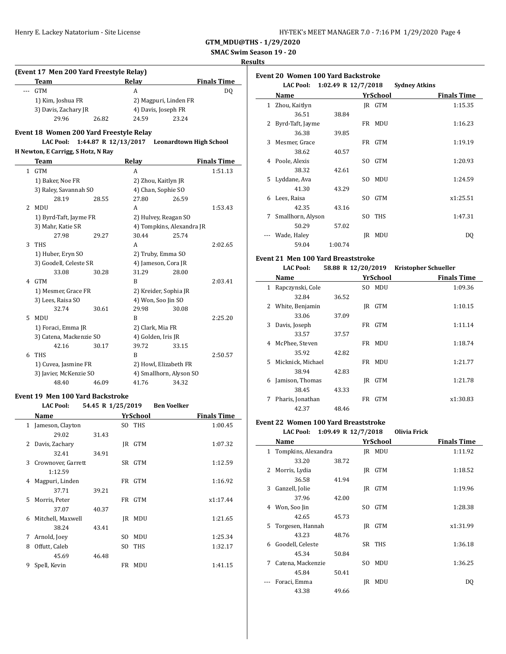**SMAC Swim Season 19 - 20**

#### **Results**

### **(Event 17 Men 200 Yard Freestyle Relay) Team Relay Finals Time** -- GTM A DQ 1) Kim, Joshua FR 2) Magpuri, Linden FR 3) Davis, Zachary JR 4) Davis, Joseph FR 29.96 26.82 24.59 23.24 **Event 18 Women 200 Yard Freestyle Relay LAC Pool: 1:44.87 R 12/13/2017 Leonardtown High School H Newton, E Carrigg, S Hotz, N Ray Team Relay Finals Time** 1 GTM A 1:51.13 1) Baker, Noe FR 2) Zhou, Kaitlyn JR 3) Raley, Savannah SO 4) Chan, Sophie SO 28.19 28.55 27.80 26.59 2 MDU A 1:53.43 1) Byrd-Taft, Jayme FR 2) Hulvey, Reagan SO 3) Mahr, Katie SR 4) Tompkins, Alexandra JR 27.98 29.27 30.44 25.74 3 THS 2:02.65 1) Huber, Eryn SO 2) Truby, Emma SO 3) Goodell, Celeste SR 4) Jameson, Cora JR 33.08 30.28 31.29 28.00 4 GTM B 2:03.41 1) Mesmer, Grace FR 2) Kreider, Sophia JR 3) Lees, Raisa SO 4) Won, Soo Jin SO 32.74 30.61 29.98 30.08 5 MDU B 2:25.20 1) Foraci, Emma JR 2) Clark, Mia FR 3) Catena, Mackenzie SO 4) Golden, Iris JR 42.16 30.17 39.72 33.15 6 THS B 2:50.57 1) Cuvea, Jasmine FR 2) Howl, Elizabeth FR 3) Javier, McKenzie SO 4) Smallhorn, Alyson SO 48.40 46.09 41.76 34.32

#### **Event 19 Men 100 Yard Backstroke LAC Pool: 54.45 R 1/25/2019 Ben Voelker**

|   | LAC POOI:          | 54.45 K 1/25/2019 |     |            | <b>Ben</b> voelker |                    |
|---|--------------------|-------------------|-----|------------|--------------------|--------------------|
|   | Name               |                   |     | YrSchool   |                    | <b>Finals Time</b> |
|   | 1 Jameson, Clayton |                   |     | SO THS     |                    | 1:00.45            |
|   | 29.02              | 31.43             |     |            |                    |                    |
| 2 | Davis, Zachary     |                   | IR  | <b>GTM</b> |                    | 1:07.32            |
|   | 32.41              | 34.91             |     |            |                    |                    |
| 3 | Crownover, Garrett |                   | SR  | <b>GTM</b> |                    | 1:12.59            |
|   | 1:12.59            |                   |     |            |                    |                    |
| 4 | Magpuri, Linden    |                   | FR  | <b>GTM</b> |                    | 1:16.92            |
|   | 37.71              | 39.21             |     |            |                    |                    |
| 5 | Morris, Peter      |                   |     | FR GTM     |                    | x1:17.44           |
|   | 37.07              | 40.37             |     |            |                    |                    |
| 6 | Mitchell, Maxwell  |                   | IR  | MDU        |                    | 1:21.65            |
|   | 38.24              | 43.41             |     |            |                    |                    |
| 7 | Arnold, Joey       |                   | SO. | <b>MDU</b> |                    | 1:25.34            |
| 8 | Offutt, Caleb      |                   | SO. | <b>THS</b> |                    | 1:32.17            |
|   | 45.69              | 46.48             |     |            |                    |                    |
| 9 | Spell, Kevin       |                   | FR  | <b>MDU</b> |                    | 1:41.15            |

| Event 20  Women 100 Yard Backstroke |  |
|-------------------------------------|--|
|-------------------------------------|--|

|    | <b>LAC Pool:</b>  | 1:02.49 R 12/7/2018 |     |            | <b>Sydney Atkins</b> |                    |
|----|-------------------|---------------------|-----|------------|----------------------|--------------------|
|    | Name              |                     |     | YrSchool   |                      | <b>Finals Time</b> |
| 1  | Zhou, Kaitlyn     |                     |     | IR GTM     |                      | 1:15.35            |
|    | 36.51             | 38.84               |     |            |                      |                    |
| 2  | Byrd-Taft, Jayme  |                     |     | FR MDU     |                      | 1:16.23            |
|    | 36.38             | 39.85               |     |            |                      |                    |
| 3  | Mesmer, Grace     |                     |     | FR GTM     |                      | 1:19.19            |
|    | 38.62             | 40.57               |     |            |                      |                    |
| 4  | Poole, Alexis     |                     | SO. | <b>GTM</b> |                      | 1:20.93            |
|    | 38.32             | 42.61               |     |            |                      |                    |
| 5. | Lyddane, Ava      |                     | SO. | <b>MDU</b> |                      | 1:24.59            |
|    | 41.30             | 43.29               |     |            |                      |                    |
| 6  | Lees, Raisa       |                     | SO. | <b>GTM</b> |                      | x1:25.51           |
|    | 42.35             | 43.16               |     |            |                      |                    |
| 7  | Smallhorn, Alyson |                     | SO. | <b>THS</b> |                      | 1:47.31            |
|    | 50.29             | 57.02               |     |            |                      |                    |
|    | Wade, Haley       |                     | IR  | MDU        |                      | DQ                 |
|    | 59.04             | 1:00.74             |     |            |                      |                    |

#### **Event 21 Men 100 Yard Breaststroke**

|    | <b>LAC Pool:</b>  |       |     |            | 58.88 R 12/20/2019 Kristopher Schueller |  |
|----|-------------------|-------|-----|------------|-----------------------------------------|--|
|    | Name              |       |     | YrSchool   | <b>Finals Time</b>                      |  |
| 1  | Rapczynski, Cole  |       | SO. | MDU        | 1:09.36                                 |  |
|    | 32.84             | 36.52 |     |            |                                         |  |
| 2  | White, Benjamin   |       | IR  | <b>GTM</b> | 1:10.15                                 |  |
|    | 33.06             | 37.09 |     |            |                                         |  |
| 3  | Davis, Joseph     |       | FR  | <b>GTM</b> | 1:11.14                                 |  |
|    | 33.57             | 37.57 |     |            |                                         |  |
| 4  | McPhee, Steven    |       |     | FR MDU     | 1:18.74                                 |  |
|    | 35.92             | 42.82 |     |            |                                         |  |
| 5. | Micknick, Michael |       | FR  | MDU        | 1:21.77                                 |  |
|    | 38.94             | 42.83 |     |            |                                         |  |
| 6  | Jamison, Thomas   |       | IR  | <b>GTM</b> | 1:21.78                                 |  |
|    | 38.45             | 43.33 |     |            |                                         |  |
| 7  | Pharis, Jonathan  |       | FR  | <b>GTM</b> | x1:30.83                                |  |
|    | 42.37             | 48.46 |     |            |                                         |  |

#### **Event 22 Women 100 Yard Breaststroke**

#### **LAC Pool: 1:09.49 R 12/7/2018 Olivia Frick**

|              | Name                |       |     | YrSchool      | <b>Finals Time</b> |
|--------------|---------------------|-------|-----|---------------|--------------------|
| $\mathbf{1}$ | Tompkins, Alexandra |       |     | <b>IR MDU</b> | 1:11.92            |
|              | 33.20               | 38.72 |     |               |                    |
| 2            | Morris, Lydia       |       | IR  | <b>GTM</b>    | 1:18.52            |
|              | 36.58               | 41.94 |     |               |                    |
| 3            | Ganzell, Jolie      |       | IR  | <b>GTM</b>    | 1:19.96            |
|              | 37.96               | 42.00 |     |               |                    |
| 4            | Won, Soo Jin        |       | SO. | <b>GTM</b>    | 1:28.38            |
|              | 42.65               | 45.73 |     |               |                    |
| 5            | Torgesen, Hannah    |       | IR  | <b>GTM</b>    | x1:31.99           |
|              | 43.23               | 48.76 |     |               |                    |
| 6            | Goodell, Celeste    |       |     | SR THS        | 1:36.18            |
|              | 45.34               | 50.84 |     |               |                    |
| 7            | Catena, Mackenzie   |       | SO. | <b>MDU</b>    | 1:36.25            |
|              | 45.84               | 50.41 |     |               |                    |
|              | Foraci, Emma        |       | IR  | MDU           | DQ                 |
|              | 43.38               | 49.66 |     |               |                    |